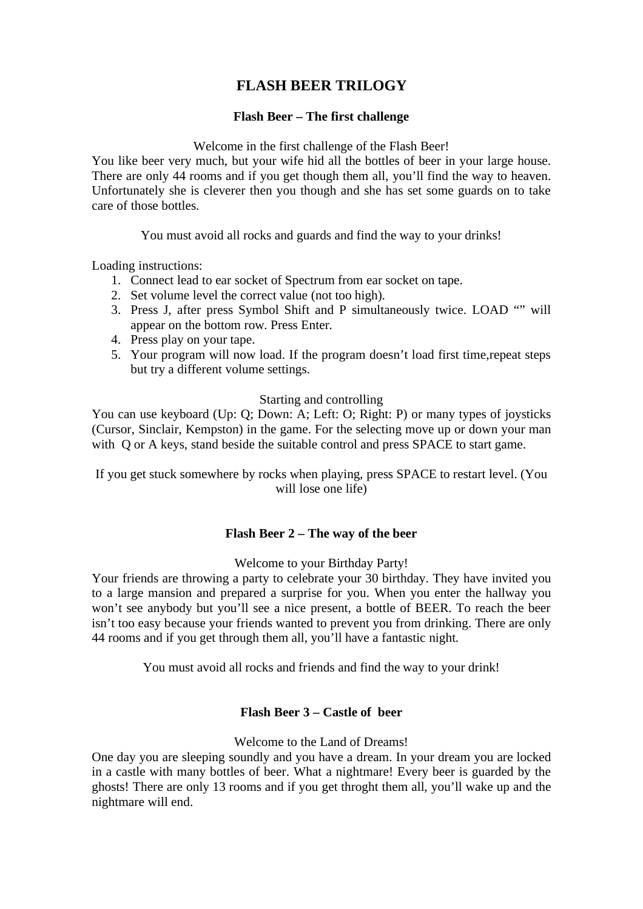# **FLASH BEER TRILOGY**

## **Flash Beer – The first challenge**

#### Welcome in the first challenge of the Flash Beer!

You like beer very much, but your wife hid all the bottles of beer in your large house. There are only 44 rooms and if you get though them all, you'll find the way to heaven. Unfortunately she is cleverer then you though and she has set some guards on to take care of those bottles.

You must avoid all rocks and guards and find the way to your drinks!

Loading instructions:

- 1. Connect lead to ear socket of Spectrum from ear socket on tape.
- 2. Set volume level the correct value (not too high).
- 3. Press J, after press Symbol Shift and P simultaneously twice. LOAD "" will appear on the bottom row. Press Enter.
- 4. Press play on your tape.
- 5. Your program will now load. If the program doesn't load first time,repeat steps but try a different volume settings.

### Starting and controlling

You can use keyboard (Up: Q; Down: A; Left: O; Right: P) or many types of joysticks (Cursor, Sinclair, Kempston) in the game. For the selecting move up or down your man with Q or A keys, stand beside the suitable control and press SPACE to start game.

If you get stuck somewhere by rocks when playing, press SPACE to restart level. (You will lose one life)

## **Flash Beer 2 – The way of the beer**

Welcome to your Birthday Party!

Your friends are throwing a party to celebrate your 30 birthday. They have invited you to a large mansion and prepared a surprise for you. When you enter the hallway you won't see anybody but you'll see a nice present, a bottle of BEER. To reach the beer isn't too easy because your friends wanted to prevent you from drinking. There are only 44 rooms and if you get through them all, you'll have a fantastic night.

You must avoid all rocks and friends and find the way to your drink!

#### **Flash Beer 3 – Castle of beer**

Welcome to the Land of Dreams!

One day you are sleeping soundly and you have a dream. In your dream you are locked in a castle with many bottles of beer. What a nightmare! Every beer is guarded by the ghosts! There are only 13 rooms and if you get throght them all, you'll wake up and the nightmare will end.